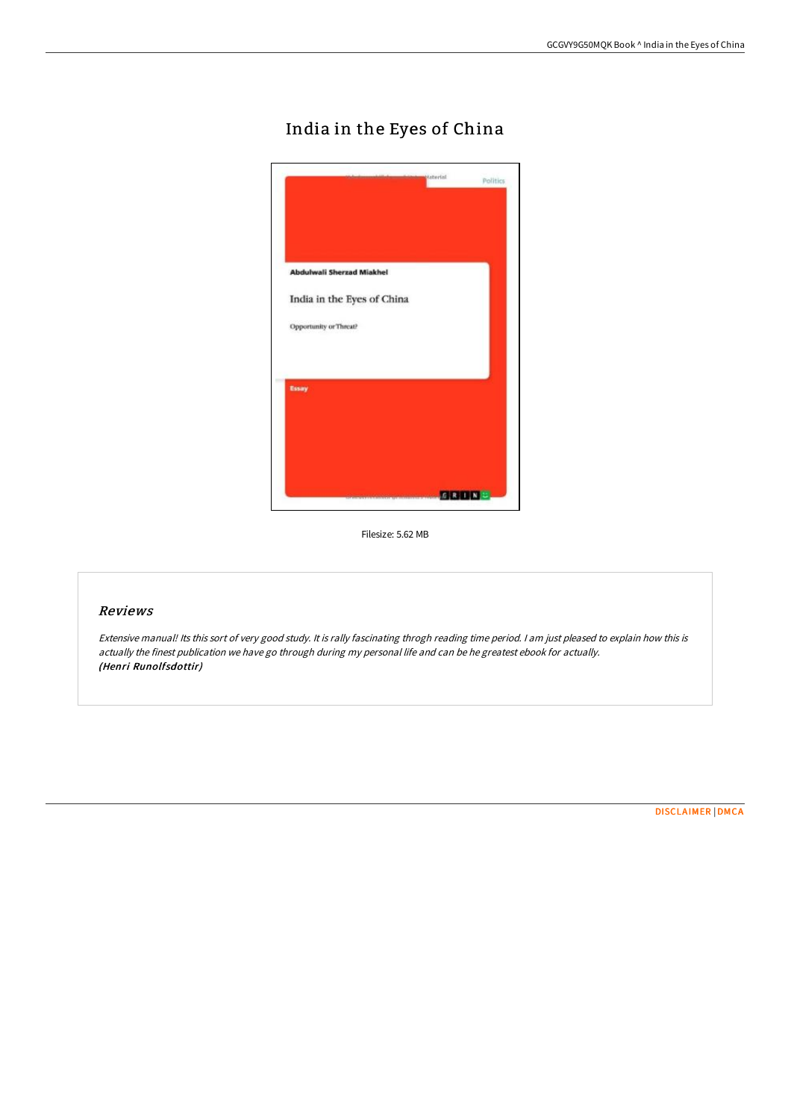# India in the Eyes of China



Filesize: 5.62 MB

### Reviews

Extensive manual! Its this sort of very good study. It is rally fascinating throgh reading time period. <sup>I</sup> am just pleased to explain how this is actually the finest publication we have go through during my personal life and can be he greatest ebook for actually. (Henri Runolfsdottir)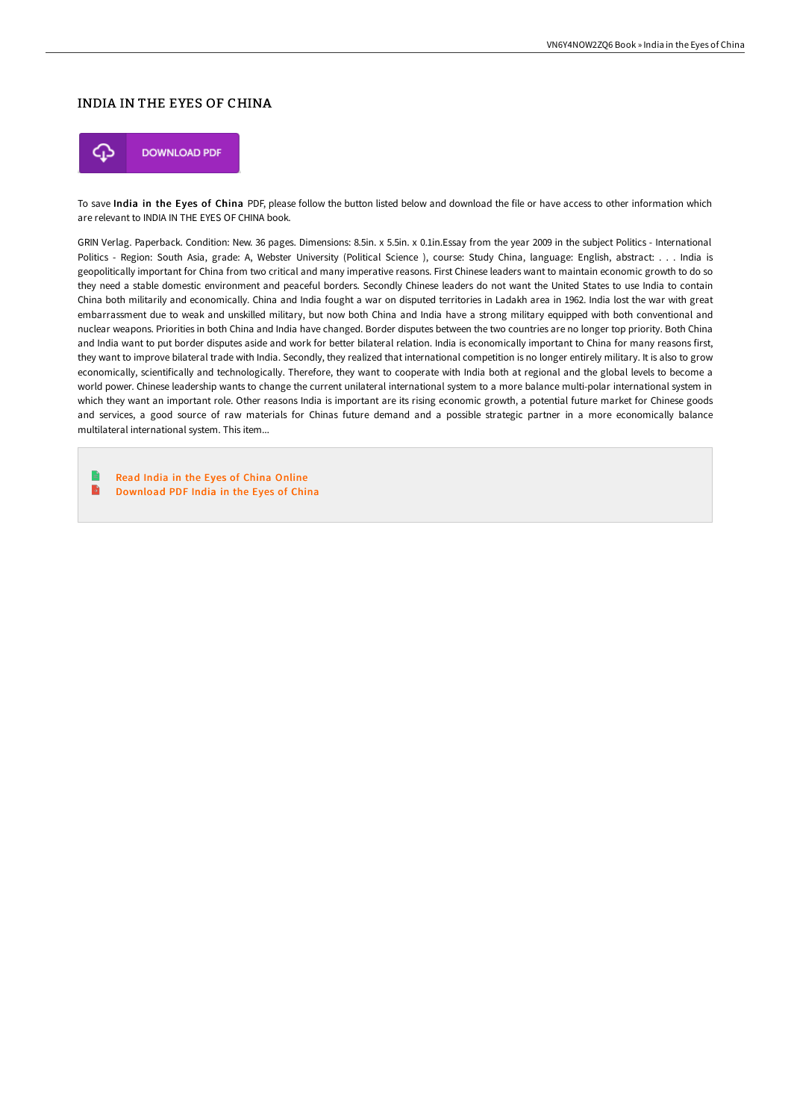## INDIA IN THE EYES OF CHINA



To save India in the Eyes of China PDF, please follow the button listed below and download the file or have access to other information which are relevant to INDIA IN THE EYES OF CHINA book.

GRIN Verlag. Paperback. Condition: New. 36 pages. Dimensions: 8.5in. x 5.5in. x 0.1in.Essay from the year 2009 in the subject Politics - International Politics - Region: South Asia, grade: A, Webster University (Political Science ), course: Study China, language: English, abstract: . . . India is geopolitically important for China from two critical and many imperative reasons. First Chinese leaders want to maintain economic growth to do so they need a stable domestic environment and peaceful borders. Secondly Chinese leaders do not want the United States to use India to contain China both militarily and economically. China and India fought a war on disputed territories in Ladakh area in 1962. India lost the war with great embarrassment due to weak and unskilled military, but now both China and India have a strong military equipped with both conventional and nuclear weapons. Priorities in both China and India have changed. Border disputes between the two countries are no longer top priority. Both China and India want to put border disputes aside and work for better bilateral relation. India is economically important to China for many reasons first, they want to improve bilateral trade with India. Secondly, they realized that international competition is no longer entirely military. It is also to grow economically, scientifically and technologically. Therefore, they want to cooperate with India both at regional and the global levels to become a world power. Chinese leadership wants to change the current unilateral international system to a more balance multi-polar international system in which they want an important role. Other reasons India is important are its rising economic growth, a potential future market for Chinese goods and services, a good source of raw materials for Chinas future demand and a possible strategic partner in a more economically balance multilateral international system. This item...

e Read India in the Eyes of China [Online](http://techno-pub.tech/india-in-the-eyes-of-china.html)  $\mathbf{B}$ [Download](http://techno-pub.tech/india-in-the-eyes-of-china.html) PDF India in the Eyes of China